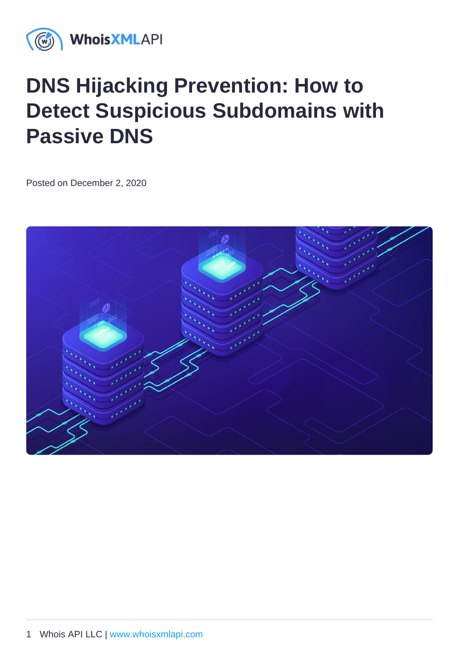# DNS Hijacking Prevention: How to Detect Suspicious Subdomains with Passive DNS

Posted on December 2, 2020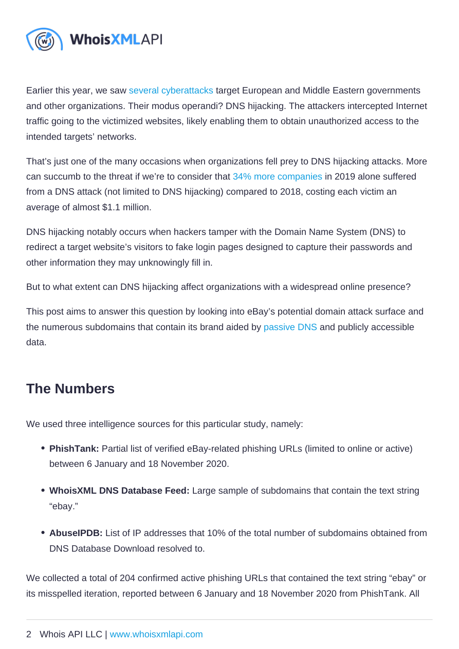Earlier this year, we saw [several cyberattacks](https://www.reuters.com/article/us-cyber-attack-hijack-exclusive/exclusive-hackers-acting-in-turkeys-interests-believed-to-be-behind-recent-cyberattacks-sources-idUSKBN1ZQ10X) target European and Middle Eastern governments and other organizations. Their modus operandi? DNS hijacking. The attackers intercepted Internet traffic going to the victimized websites, likely enabling them to obtain unauthorized access to the intended targets' networks.

That's just one of the many occasions when organizations fell prey to DNS hijacking attacks. More can succumb to the threat if we're to consider that [34% more companies](https://secureops.com/blog-dns-hijacking/) in 2019 alone suffered from a DNS attack (not limited to DNS hijacking) compared to 2018, costing each victim an average of almost \$1.1 million.

DNS hijacking notably occurs when hackers tamper with the Domain Name System (DNS) to redirect a target website's visitors to fake login pages designed to capture their passwords and other information they may unknowingly fill in.

But to what extent can DNS hijacking affect organizations with a widespread online presence?

This post aims to answer this question by looking into eBay's potential domain attack surface and the numerous subdomains that contain its brand aided by [passive DNS](https://reverse-ip.whoisxmlapi.com/database) and publicly accessible data.

## The Numbers

We used three intelligence sources for this particular study, namely:

- PhishTank: Partial list of verified eBay-related phishing URLs (limited to online or active) between 6 January and 18 November 2020.
- WhoisXML DNS Database Feed: Large sample of subdomains that contain the text string "ebay."
- AbuseIPDB: List of IP addresses that 10% of the total number of subdomains obtained from DNS Database Download resolved to.

We collected a total of 204 confirmed active phishing URLs that contained the text string "ebay" or its misspelled iteration, reported between 6 January and 18 November 2020 from PhishTank. All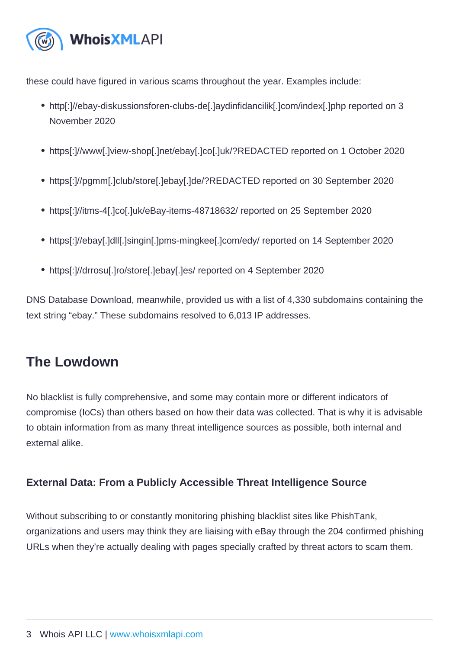these could have figured in various scams throughout the year. Examples include:

- http[:]//ebay-diskussionsforen-clubs-de[.]aydinfidancilik[.]com/index[.]php reported on 3 November 2020
- https[:]//www[.]view-shop[.]net/ebay[.]co[.]uk/?REDACTED reported on 1 October 2020
- https[:]//pgmm[.]club/store[.]ebay[.]de/?REDACTED reported on 30 September 2020
- https[:]//itms-4[.]co[.]uk/eBay-items-48718632/ reported on 25 September 2020
- https[:]//ebay[.]dll[.]singin[.]pms-mingkee[.]com/edy/ reported on 14 September 2020
- https[:]//drrosu[.]ro/store[.]ebay[.]es/ reported on 4 September 2020

DNS Database Download, meanwhile, provided us with a list of 4,330 subdomains containing the text string "ebay." These subdomains resolved to 6,013 IP addresses.

## The Lowdown

No blacklist is fully comprehensive, and some may contain more or different indicators of compromise (IoCs) than others based on how their data was collected. That is why it is advisable to obtain information from as many threat intelligence sources as possible, both internal and external alike.

External Data: From a Publicly Accessible Threat Intelligence Source

Without subscribing to or constantly monitoring phishing blacklist sites like PhishTank, organizations and users may think they are liaising with eBay through the 204 confirmed phishing URLs when they're actually dealing with pages specially crafted by threat actors to scam them.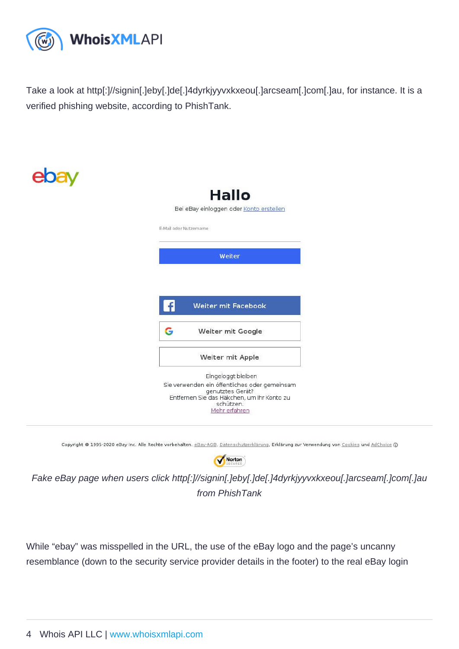Take a look at http[:]//signin[.]eby[.]de[.]4dyrkjyyvxkxeou[.]arcseam[.]com[.]au, for instance. It is a verified phishing website, according to PhishTank.

### Fake eBay page when users click http[:]//signin[.]eby[.]de[.]4dyrkjyyvxkxeou[.]arcseam[.]com[.]au from PhishTank

While "ebay" was misspelled in the URL, the use of the eBay logo and the page's uncanny resemblance (down to the security service provider details in the footer) to the real eBay login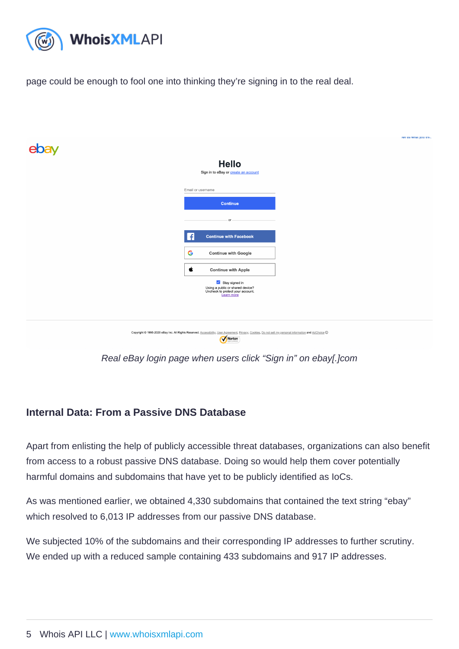page could be enough to fool one into thinking they're signing in to the real deal.

Real eBay login page when users click "Sign in" on ebay[.]com

#### Internal Data: From a Passive DNS Database

Apart from enlisting the help of publicly accessible threat databases, organizations can also benefit from access to a robust passive DNS database. Doing so would help them cover potentially harmful domains and subdomains that have yet to be publicly identified as IoCs.

As was mentioned earlier, we obtained 4,330 subdomains that contained the text string "ebay" which resolved to 6,013 IP addresses from our passive DNS database.

We subjected 10% of the subdomains and their corresponding IP addresses to further scrutiny. We ended up with a reduced sample containing 433 subdomains and 917 IP addresses.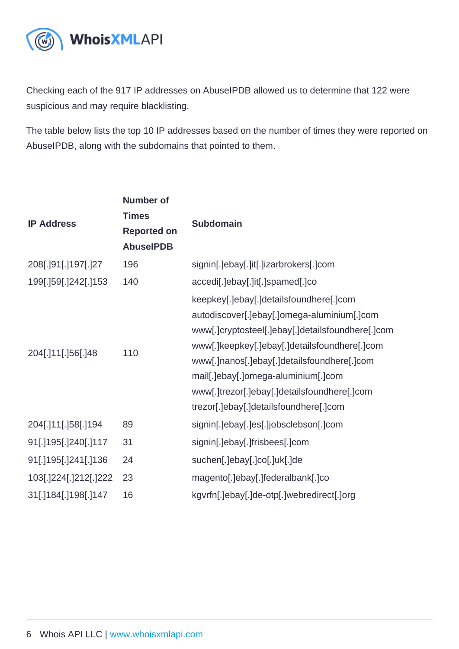Checking each of the 917 IP addresses on AbuseIPDB allowed us to determine that 122 were suspicious and may require blacklisting.

The table below lists the top 10 IP addresses based on the number of times they were reported on AbuseIPDB, along with the subdomains that pointed to them.

| <b>IP Address</b>     | Number of<br><b>Times</b><br>Reported on<br>AbuselPDB | Subdomain                                         |
|-----------------------|-------------------------------------------------------|---------------------------------------------------|
| 208[.]91[.]197[.]27   | 196                                                   | signin[.]ebay[.]it[.]izarbrokers[.]com            |
| 199[.]59[.]242[.]153  | 140                                                   | accedi[.]ebay[.]it[.]spamed[.]co                  |
| 204[.]11[.]56[.]48    | 110                                                   | keepkey[.]ebay[.]detailsfoundhere[.]com           |
|                       |                                                       | autodiscover[.]ebay[.]omega-aluminium[.]com       |
|                       |                                                       | www[.]cryptosteel[.]ebay[.]detailsfoundhere[.]com |
|                       |                                                       | www[.]keepkey[.]ebay[.]detailsfoundhere[.]com     |
|                       |                                                       | www[.]nanos[.]ebay[.]detailsfoundhere[.]com       |
|                       |                                                       | mail[.]ebay[.]omega-aluminium[.]com               |
|                       |                                                       | www[.]trezor[.]ebay[.]detailsfoundhere[.]com      |
|                       |                                                       | trezor[.]ebay[.]detailsfoundhere[.]com            |
| 204[.]11[.]58[.]194   | 89                                                    | signin[.]ebay[.]es[.]jobsclebson[.]com            |
| 91[.]195[.]240[.]117  | 31                                                    | signin[.]ebay[.]frisbees[.]com                    |
| 91[.]195[.]241[.]136  | 24                                                    | suchen[.]ebay[.]co[.]uk[.]de                      |
| 103[.]224[.]212[.]222 | 23                                                    | magento[.]ebay[.]federalbank[.]co                 |
| 31[.]184[.]198[.]147  | 16                                                    | kgvrfn[.]ebay[.]de-otp[.]webredirect[.]org        |